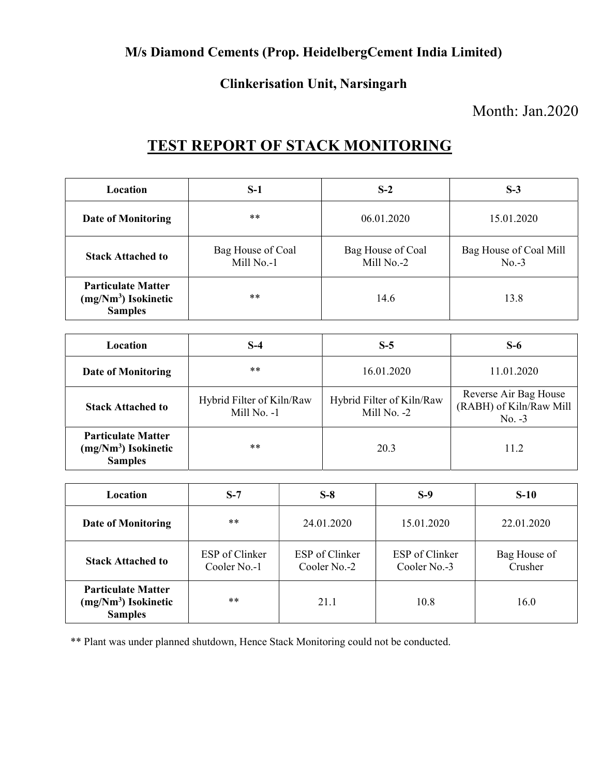#### M/s Diamond Cements (Prop. HeidelbergCement India Limited)

#### Clinkerisation Unit, Narsingarh

### Month: Jan.2020

## TEST REPORT OF STACK MONITORING

| <b>Location</b>                                                      | $S-1$                           | $S-2$                           | $S-3$                             |
|----------------------------------------------------------------------|---------------------------------|---------------------------------|-----------------------------------|
| <b>Date of Monitoring</b>                                            | **                              | 06.01.2020                      | 15.01.2020                        |
| <b>Stack Attached to</b>                                             | Bag House of Coal<br>Mill No.-1 | Bag House of Coal<br>Mill No.-2 | Bag House of Coal Mill<br>$No.-3$ |
| <b>Particulate Matter</b><br>$(mg/Nm3)$ Isokinetic<br><b>Samples</b> | $***$                           | 14.6                            | 13.8                              |

| Location                                                             | $S-4$                                    | $S-5$                                    | $S-6$                                                        |
|----------------------------------------------------------------------|------------------------------------------|------------------------------------------|--------------------------------------------------------------|
| <b>Date of Monitoring</b>                                            | $***$                                    | 16.01.2020                               | 11.01.2020                                                   |
| <b>Stack Attached to</b>                                             | Hybrid Filter of Kiln/Raw<br>Mill No. -1 | Hybrid Filter of Kiln/Raw<br>Mill No. -2 | Reverse Air Bag House<br>(RABH) of Kiln/Raw Mill<br>$No. -3$ |
| <b>Particulate Matter</b><br>$(mg/Nm3)$ Isokinetic<br><b>Samples</b> | $***$                                    | 20.3                                     | 11.2                                                         |

| Location                                                             | $S-7$                          | $S-8$                          | $S-9$                          | $S-10$                  |
|----------------------------------------------------------------------|--------------------------------|--------------------------------|--------------------------------|-------------------------|
| <b>Date of Monitoring</b>                                            | **                             | 24.01.2020                     | 15.01.2020                     | 22.01.2020              |
| <b>Stack Attached to</b>                                             | ESP of Clinker<br>Cooler No.-1 | ESP of Clinker<br>Cooler No.-2 | ESP of Clinker<br>Cooler No.-3 | Bag House of<br>Crusher |
| <b>Particulate Matter</b><br>$(mg/Nm3)$ Isokinetic<br><b>Samples</b> | $***$                          | 21.1                           | 10.8                           | 16.0                    |

\*\* Plant was under planned shutdown, Hence Stack Monitoring could not be conducted.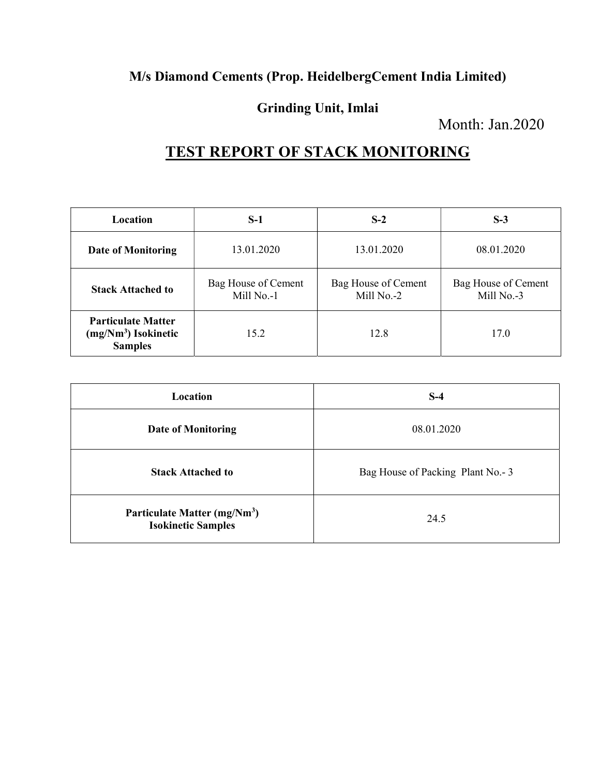### M/s Diamond Cements (Prop. HeidelbergCement India Limited)

#### Grinding Unit, Imlai

Month: Jan.2020

# TEST REPORT OF STACK MONITORING

| Location                                                             | $S-1$                             | $S-2$                             | $S-3$                             |
|----------------------------------------------------------------------|-----------------------------------|-----------------------------------|-----------------------------------|
| <b>Date of Monitoring</b>                                            | 13.01.2020                        | 13.01.2020                        | 08.01.2020                        |
| <b>Stack Attached to</b>                                             | Bag House of Cement<br>Mill No.-1 | Bag House of Cement<br>Mill No.-2 | Bag House of Cement<br>Mill No.-3 |
| <b>Particulate Matter</b><br>$(mg/Nm3)$ Isokinetic<br><b>Samples</b> | 15.2                              | 12.8                              | 17.0                              |

| Location                                                              | $S-4$                            |
|-----------------------------------------------------------------------|----------------------------------|
| <b>Date of Monitoring</b>                                             | 08.01.2020                       |
| <b>Stack Attached to</b>                                              | Bag House of Packing Plant No.-3 |
| Particulate Matter (mg/Nm <sup>3</sup> )<br><b>Isokinetic Samples</b> | 24.5                             |